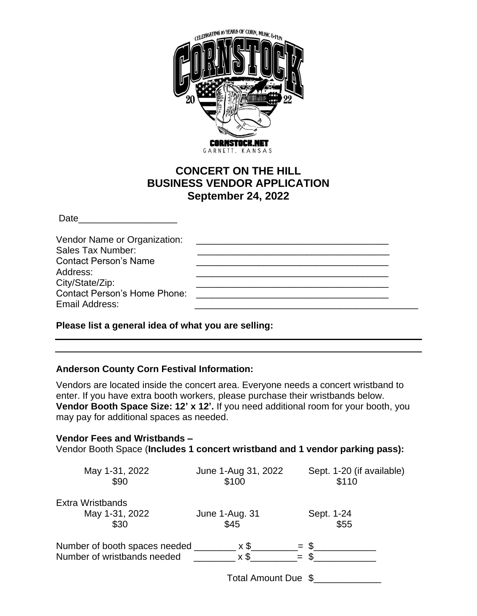

# **CONCERT ON THE HILL BUSINESS VENDOR APPLICATION September 24, 2022**

 $Date$ 

### **Please list a general idea of what you are selling:**

## **Anderson County Corn Festival Information:**

Vendors are located inside the concert area. Everyone needs a concert wristband to enter. If you have extra booth workers, please purchase their wristbands below. **Vendor Booth Space Size: 12' x 12'.** If you need additional room for your booth, you may pay for additional spaces as needed.

# **Vendor Fees and Wristbands –** Vendor Booth Space (**Includes 1 concert wristband and 1 vendor parking pass):**

| May 1-31, 2022<br>\$90        | June 1-Aug 31, 2022<br>\$100 | Sept. 1-20 (if available)<br>\$110 |
|-------------------------------|------------------------------|------------------------------------|
| <b>Extra Wristbands</b>       |                              |                                    |
| May 1-31, 2022                | June 1-Aug. 31               | Sept. 1-24                         |
| \$30                          | \$45                         | \$55                               |
| Number of booth spaces needed | x \$                         | $=$ \$                             |
| Number of wristbands needed   | $x$ \$                       |                                    |
|                               | Total Amount Due \$          |                                    |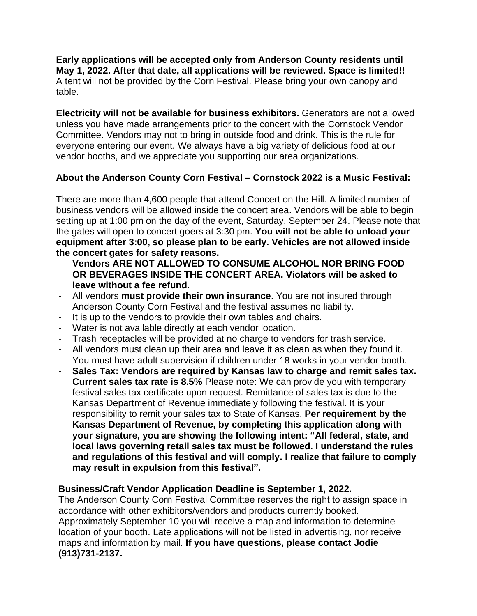**Early applications will be accepted only from Anderson County residents until May 1, 2022. After that date, all applications will be reviewed. Space is limited!!** A tent will not be provided by the Corn Festival. Please bring your own canopy and table.

**Electricity will not be available for business exhibitors.** Generators are not allowed unless you have made arrangements prior to the concert with the Cornstock Vendor Committee. Vendors may not to bring in outside food and drink. This is the rule for everyone entering our event. We always have a big variety of delicious food at our vendor booths, and we appreciate you supporting our area organizations.

## **About the Anderson County Corn Festival – Cornstock 2022 is a Music Festival:**

There are more than 4,600 people that attend Concert on the Hill. A limited number of business vendors will be allowed inside the concert area. Vendors will be able to begin setting up at 1:00 pm on the day of the event, Saturday, September 24. Please note that the gates will open to concert goers at 3:30 pm. **You will not be able to unload your equipment after 3:00, so please plan to be early. Vehicles are not allowed inside the concert gates for safety reasons.**

- Vendors ARE NOT ALLOWED TO CONSUME ALCOHOL NOR BRING FOOD **OR BEVERAGES INSIDE THE CONCERT AREA. Violators will be asked to leave without a fee refund.**
- All vendors **must provide their own insurance**. You are not insured through Anderson County Corn Festival and the festival assumes no liability.
- It is up to the vendors to provide their own tables and chairs.
- Water is not available directly at each vendor location.
- Trash receptacles will be provided at no charge to vendors for trash service.
- All vendors must clean up their area and leave it as clean as when they found it.
- You must have adult supervision if children under 18 works in your vendor booth.
- **Sales Tax: Vendors are required by Kansas law to charge and remit sales tax. Current sales tax rate is 8.5%** Please note: We can provide you with temporary festival sales tax certificate upon request. Remittance of sales tax is due to the Kansas Department of Revenue immediately following the festival. It is your responsibility to remit your sales tax to State of Kansas. **Per requirement by the Kansas Department of Revenue, by completing this application along with your signature, you are showing the following intent: "All federal, state, and local laws governing retail sales tax must be followed. I understand the rules and regulations of this festival and will comply. I realize that failure to comply may result in expulsion from this festival".**

### **Business/Craft Vendor Application Deadline is September 1, 2022.**

The Anderson County Corn Festival Committee reserves the right to assign space in accordance with other exhibitors/vendors and products currently booked. Approximately September 10 you will receive a map and information to determine location of your booth. Late applications will not be listed in advertising, nor receive maps and information by mail. **If you have questions, please contact Jodie (913)731-2137.**